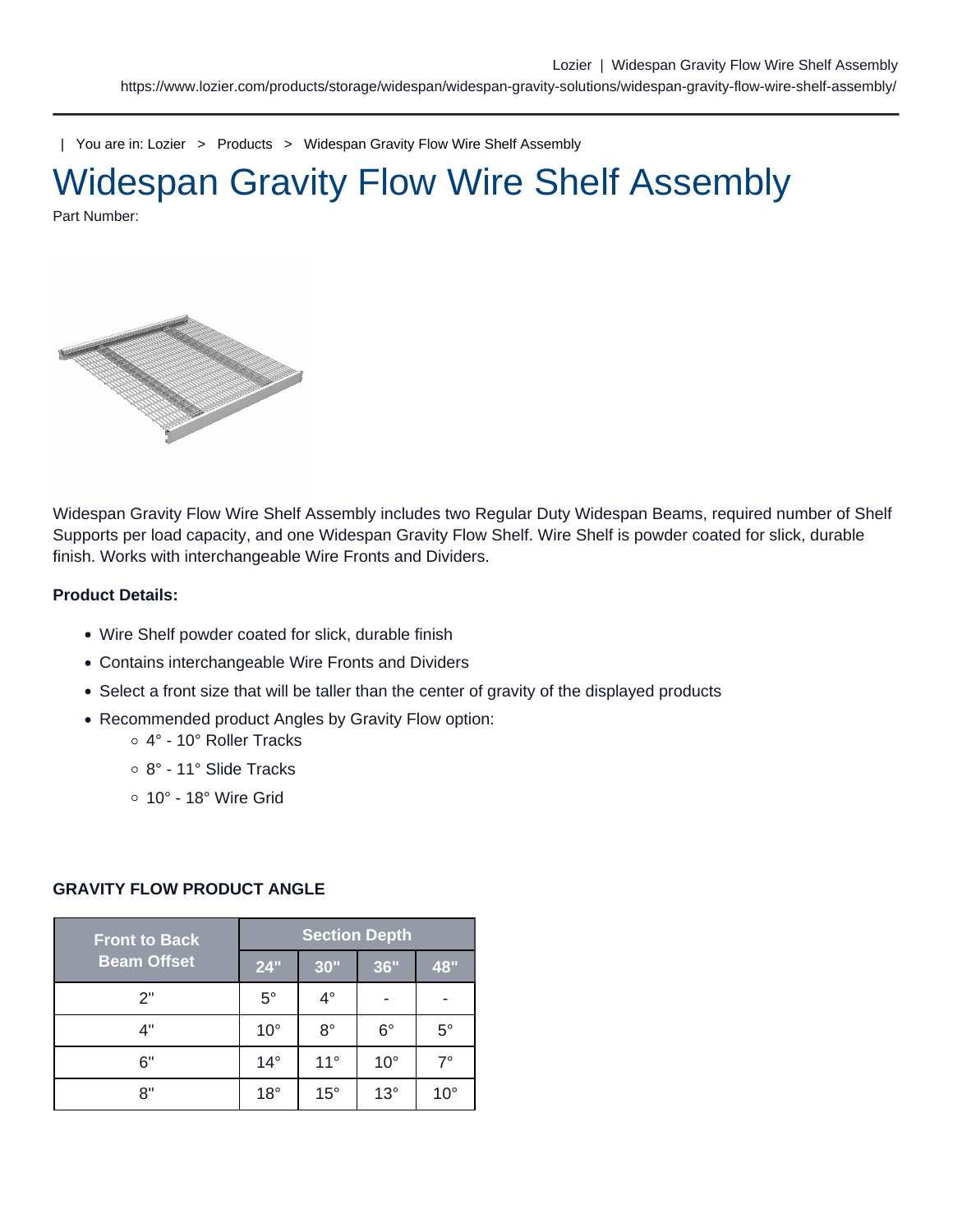| You are in: [Lozier](https://www.lozier.com) > [Products](https://www.lozier.com/products/) > [Widespan Gravity Flow Wire Shelf Assembly](https://www.lozier.com/products/storage/widespan/widespan-gravity-solutions/widespan-gravity-flow-wire-shelf-assembly/)

# Widespan Gravity Flow Wire Shelf Assembly Part Number:

Widespan Gravity Flow Wire Shelf Assembly includes two Regular Duty Widespan Beams, required number of Shelf Supports per load capacity, and one Widespan Gravity Flow Shelf. Wire Shelf is powder coated for slick, durable finish. Works with interchangeable Wire Fronts and Dividers.

Product Details:

- Wire Shelf powder coated for slick, durable finish
- Contains interchangeable Wire Fronts and Dividers
- Select a front size that will be taller than the center of gravity of the displayed products
- Recommended product Angles by Gravity Flow option:
	- 4° 10° Roller Tracks
	- 8° 11° Slide Tracks
	- $\circ$  10° 18° Wire Grid

| <b>Front to Back</b><br><b>Beam Offset</b> | <b>Section Depth</b> |              |              |              |
|--------------------------------------------|----------------------|--------------|--------------|--------------|
|                                            | 24"                  | 30"          | 36"          | 48"          |
| 2"                                         | $5^{\circ}$          | $4^\circ$    |              |              |
| 4"                                         | $10^{\circ}$         | $8^{\circ}$  | $6^{\circ}$  | $5^{\circ}$  |
| 6"                                         | $14^{\circ}$         | $11^{\circ}$ | $10^{\circ}$ | $7^{\circ}$  |
| 8"                                         | $18^{\circ}$         | $15^{\circ}$ | $13^\circ$   | $10^{\circ}$ |

#### GRAVITY FLOW PRODUCT ANGLE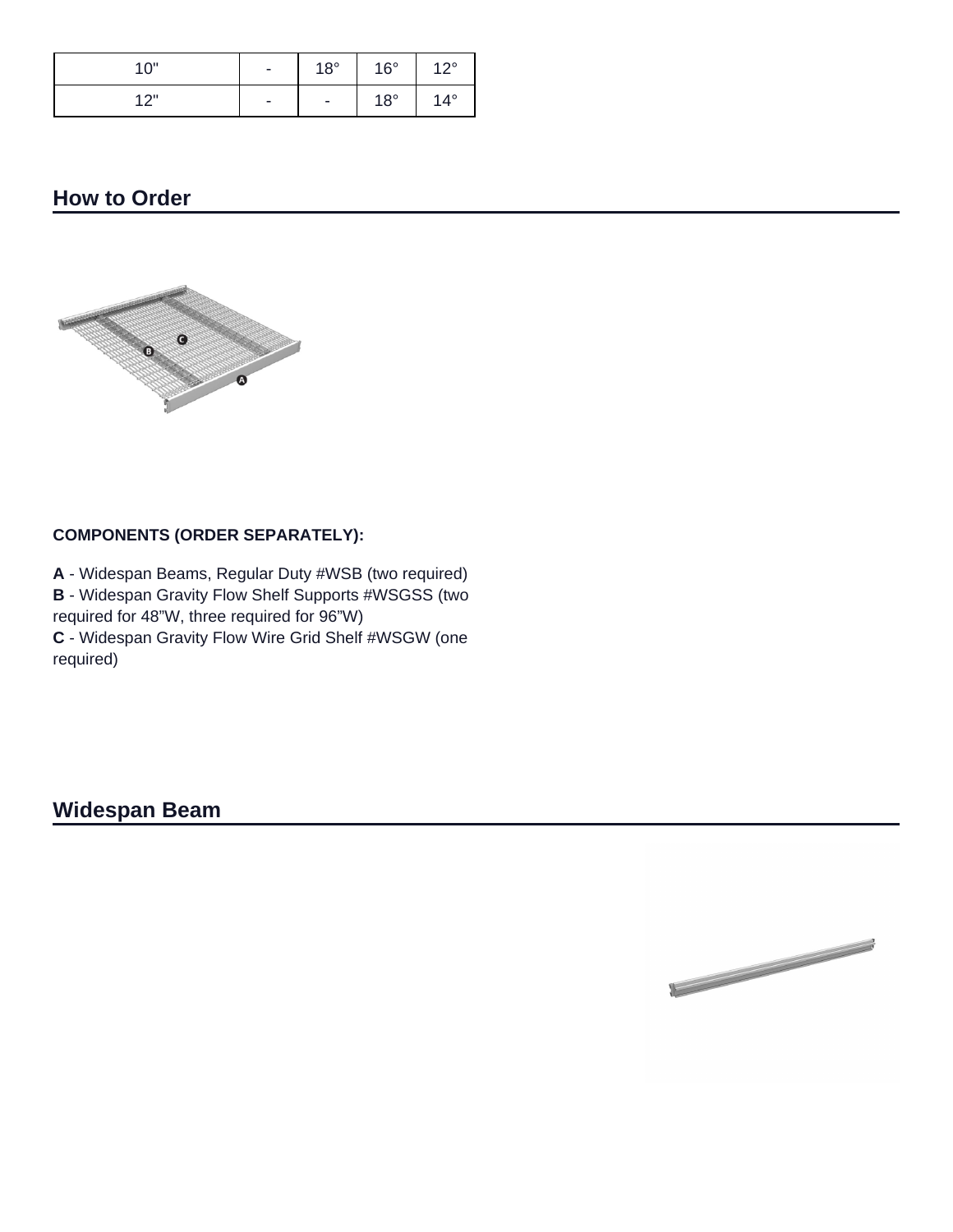| 10" | $\overline{\phantom{a}}$ | $18^{\circ}$             | $16^{\circ}$ | 100          |
|-----|--------------------------|--------------------------|--------------|--------------|
| 10" | $\overline{\phantom{a}}$ | $\overline{\phantom{a}}$ | $18^{\circ}$ | $14^{\circ}$ |

## **How to Order**



### **COMPONENTS (ORDER SEPARATELY):**

**A** - Widespan Beams, Regular Duty #WSB (two required) **B** - Widespan Gravity Flow Shelf Supports #WSGSS (two required for 48"W, three required for 96"W) **C** - Widespan Gravity Flow Wire Grid Shelf #WSGW (one required)

**Widespan Beam**

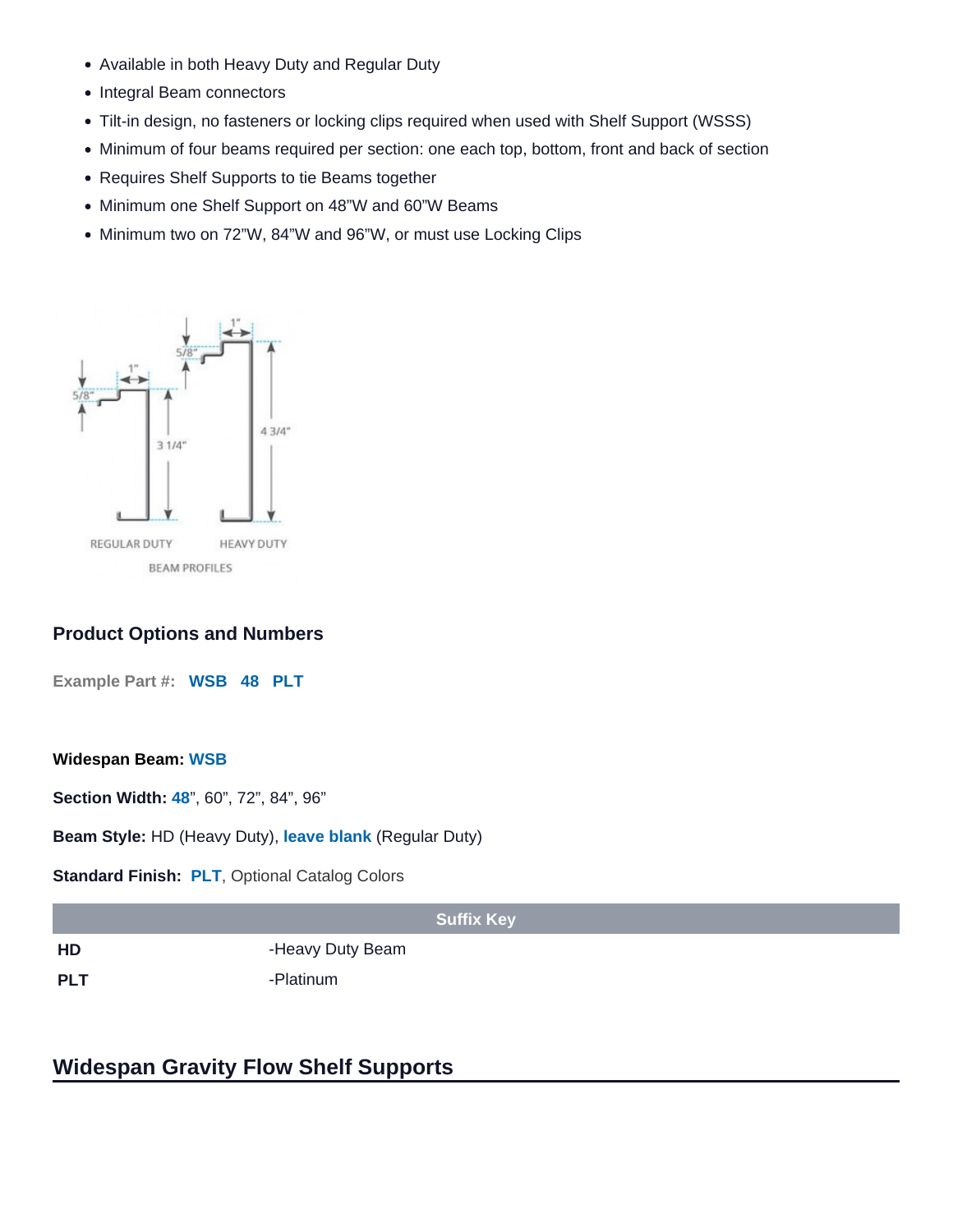- Available in both Heavy Duty and Regular Duty
- Integral Beam connectors
- Tilt-in design, no fasteners or locking clips required when used with Shelf Support (WSSS)
- Minimum of four beams required per section: one each top, bottom, front and back of section
- Requires Shelf Supports to tie Beams together
- Minimum one Shelf Support on 48"W and 60"W Beams
- Minimum two on 72"W, 84"W and 96"W, or must use Locking Clips

#### Product Options and Numbers

Example Part #: WSB 48 PLT

Widespan Beam: WSB

Section Width: 48", 60", 72", 84", 96"

Beam Style: HD (Heavy Duty), leave blank (Regular Duty)

Standard Finish: PLT, [Optional Catalog Colors](/resources/lozier-colors/)

|            | <b>Suffix Key</b> |
|------------|-------------------|
| HD         | -Heavy Duty Beam  |
| <b>PLT</b> | -Platinum         |

### Widespan Gravity Flow Shelf Supports